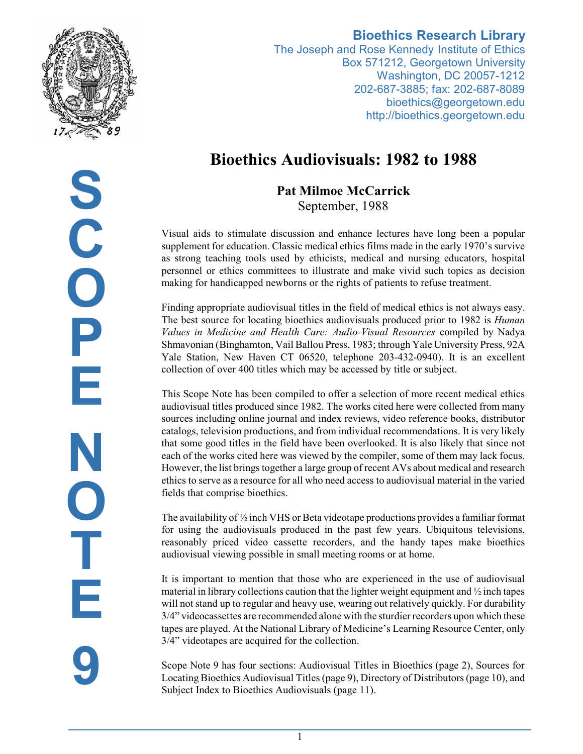

## **Bioethics Research Library**

The Joseph and Rose Kennedy Institute of Ethics Box 571212, Georgetown University Washington, DC 20057-1212 202-687-3885; fax: 202-687-8089 bioethics@georgetown.edu http://bioethics.georgetown.edu

# **Bioethics Audiovisuals: 1982 to 1988**

**Pat Milmoe McCarrick** September, 1988

Visual aids to stimulate discussion and enhance lectures have long been a popular supplement for education. Classic medical ethics films made in the early 1970's survive as strong teaching tools used by ethicists, medical and nursing educators, hospital personnel or ethics committees to illustrate and make vivid such topics as decision making for handicapped newborns or the rights of patients to refuse treatment.

Finding appropriate audiovisual titles in the field of medical ethics is not always easy. The best source for locating bioethics audiovisuals produced prior to 1982 is *Human Values in Medicine and Health Care: Audio-Visual Resources* compiled by Nadya Shmavonian (Binghamton, Vail Ballou Press, 1983; through Yale University Press, 92A Yale Station, New Haven CT 06520, telephone 203-432-0940). It is an excellent collection of over 400 titles which may be accessed by title or subject.

This Scope Note has been compiled to offer a selection of more recent medical ethics audiovisual titles produced since 1982. The works cited here were collected from many sources including online journal and index reviews, video reference books, distributor catalogs, television productions, and from individual recommendations. It is very likely that some good titles in the field have been overlooked. It is also likely that since not each of the works cited here was viewed by the compiler, some of them may lack focus. However, the list brings together a large group of recent AVs about medical and research ethics to serve as a resource for all who need access to audiovisual material in the varied fields that comprise bioethics.

The availability of  $\frac{1}{2}$  inch VHS or Beta videotape productions provides a familiar format for using the audiovisuals produced in the past few years. Ubiquitous televisions, reasonably priced video cassette recorders, and the handy tapes make bioethics audiovisual viewing possible in small meeting rooms or at home.

It is important to mention that those who are experienced in the use of audiovisual material in library collections caution that the lighter weight equipment and  $\frac{1}{2}$  inch tapes will not stand up to regular and heavy use, wearing out relatively quickly. For durability 3/4" videocassettes are recommended alone with the sturdierrecorders upon which these tapes are played. At the National Library of Medicine's Learning Resource Center, only 3/4" videotapes are acquired for the collection.

Scope Note 9 has four sections: Audiovisual Titles in Bioethics (page 2), Sources for Locating Bioethics Audiovisual Titles (page 9), Directory of Distributors (page 10), and Subject Index to Bioethics Audiovisuals (page 11).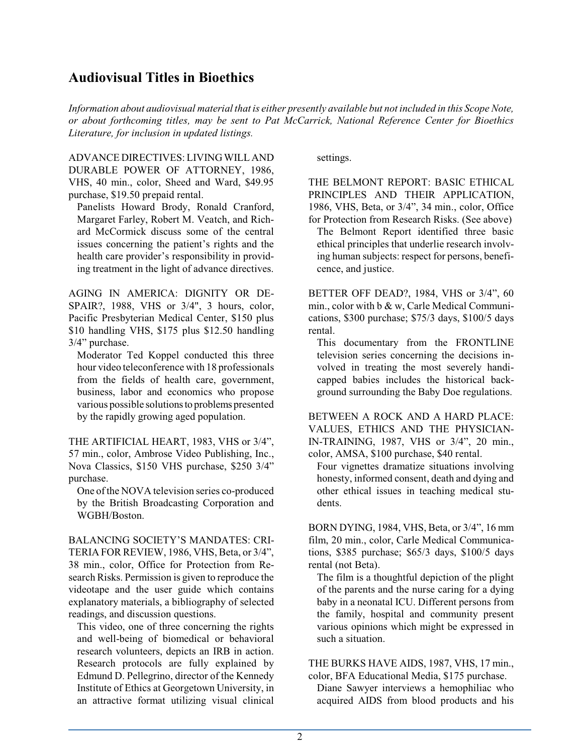## **Audiovisual Titles in Bioethics**

*Information about audiovisual material that is either presently available but not included in this Scope Note, or about forthcoming titles, may be sent to Pat McCarrick, National Reference Center for Bioethics Literature, for inclusion in updated listings.*

ADVANCE DIRECTIVES: LIVING WILL AND DURABLE POWER OF ATTORNEY, 1986, VHS, 40 min., color, Sheed and Ward, \$49.95 purchase, \$19.50 prepaid rental.

Panelists Howard Brody, Ronald Cranford, Margaret Farley, Robert M. Veatch, and Richard McCormick discuss some of the central issues concerning the patient's rights and the health care provider's responsibility in providing treatment in the light of advance directives.

AGING IN AMERICA: DIGNITY OR DE-SPAIR?, 1988, VHS or 3/4", 3 hours, color, Pacific Presbyterian Medical Center, \$150 plus \$10 handling VHS, \$175 plus \$12.50 handling 3/4" purchase.

Moderator Ted Koppel conducted this three hour video teleconference with 18 professionals from the fields of health care, government, business, labor and economics who propose various possible solutionsto problems presented by the rapidly growing aged population.

THE ARTIFICIAL HEART, 1983, VHS or 3/4", 57 min., color, Ambrose Video Publishing, Inc., Nova Classics, \$150 VHS purchase, \$250 3/4" purchase.

One of the NOVA television series co-produced by the British Broadcasting Corporation and WGBH/Boston.

BALANCING SOCIETY'S MANDATES: CRI-TERIA FOR REVIEW, 1986, VHS, Beta, or 3/4", 38 min., color, Office for Protection from Research Risks. Permission is given to reproduce the videotape and the user guide which contains explanatory materials, a bibliography of selected readings, and discussion questions.

This video, one of three concerning the rights and well-being of biomedical or behavioral research volunteers, depicts an IRB in action. Research protocols are fully explained by Edmund D. Pellegrino, director of the Kennedy Institute of Ethics at Georgetown University, in an attractive format utilizing visual clinical

settings.

THE BELMONT REPORT: BASIC ETHICAL PRINCIPLES AND THEIR APPLICATION, 1986, VHS, Beta, or 3/4", 34 min., color, Office for Protection from Research Risks. (See above)

The Belmont Report identified three basic ethical principles that underlie research involving human subjects: respect for persons, beneficence, and justice.

BETTER OFF DEAD?, 1984, VHS or 3/4", 60 min., color with b & w, Carle Medical Communications, \$300 purchase; \$75/3 days, \$100/5 days rental.

This documentary from the FRONTLINE television series concerning the decisions involved in treating the most severely handicapped babies includes the historical background surrounding the Baby Doe regulations.

BETWEEN A ROCK AND A HARD PLACE: VALUES, ETHICS AND THE PHYSICIAN-IN-TRAINING, 1987, VHS or 3/4", 20 min., color, AMSA, \$100 purchase, \$40 rental.

Four vignettes dramatize situations involving honesty, informed consent, death and dying and other ethical issues in teaching medical students.

BORN DYING, 1984, VHS, Beta, or 3/4", 16 mm film, 20 min., color, Carle Medical Communications, \$385 purchase; \$65/3 days, \$100/5 days rental (not Beta).

The film is a thoughtful depiction of the plight of the parents and the nurse caring for a dying baby in a neonatal ICU. Different persons from the family, hospital and community present various opinions which might be expressed in such a situation.

THE BURKS HAVE AIDS, 1987, VHS, 17 min., color, BFA Educational Media, \$175 purchase.

Diane Sawyer interviews a hemophiliac who acquired AIDS from blood products and his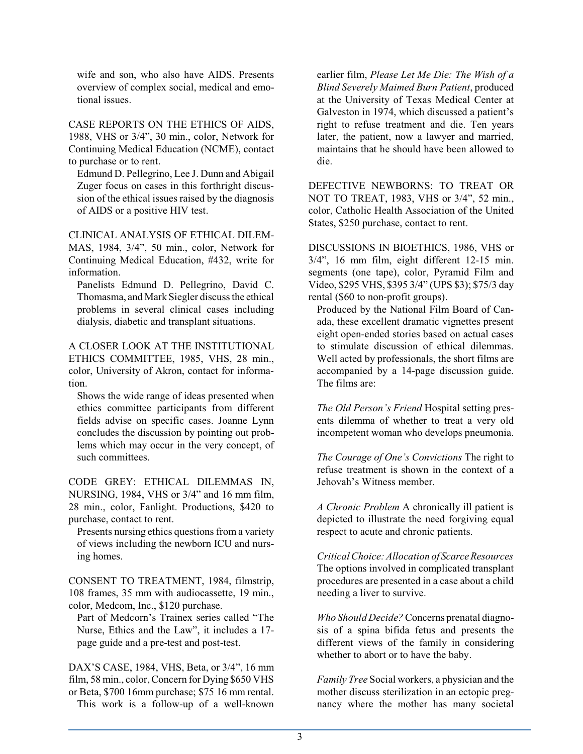wife and son, who also have AIDS. Presents overview of complex social, medical and emotional issues.

CASE REPORTS ON THE ETHICS OF AIDS, 1988, VHS or 3/4", 30 min., color, Network for Continuing Medical Education (NCME), contact to purchase or to rent.

Edmund D. Pellegrino, Lee J. Dunn and Abigail Zuger focus on cases in this forthright discussion of the ethical issues raised by the diagnosis of AIDS or a positive HIV test.

CLINICAL ANALYSIS OF ETHICAL DILEM-MAS, 1984, 3/4", 50 min., color, Network for Continuing Medical Education, #432, write for information.

Panelists Edmund D. Pellegrino, David C. Thomasma, and MarkSiegler discuss the ethical problems in several clinical cases including dialysis, diabetic and transplant situations.

A CLOSER LOOK AT THE INSTITUTIONAL ETHICS COMMITTEE, 1985, VHS, 28 min., color, University of Akron, contact for information.

Shows the wide range of ideas presented when ethics committee participants from different fields advise on specific cases. Joanne Lynn concludes the discussion by pointing out problems which may occur in the very concept, of such committees.

CODE GREY: ETHICAL DILEMMAS IN, NURSING, 1984, VHS or 3/4" and 16 mm film, 28 min., color, Fanlight. Productions, \$420 to purchase, contact to rent.

Presents nursing ethics questions from a variety of views including the newborn ICU and nursing homes.

CONSENT TO TREATMENT, 1984, filmstrip, 108 frames, 35 mm with audiocassette, 19 min., color, Medcom, Inc., \$120 purchase.

Part of Medcorn's Trainex series called "The Nurse, Ethics and the Law", it includes a 17 page guide and a pre-test and post-test.

DAX'S CASE, 1984, VHS, Beta, or 3/4", 16 mm film, 58 min., color, Concern for Dying \$650 VHS or Beta, \$700 16mm purchase; \$75 16 mm rental. This work is a follow-up of a well-known earlier film, *Please Let Me Die: The Wish of a Blind Severely Maimed Burn Patient*, produced at the University of Texas Medical Center at Galveston in 1974, which discussed a patient's right to refuse treatment and die. Ten years later, the patient, now a lawyer and married, maintains that he should have been allowed to die.

DEFECTIVE NEWBORNS: TO TREAT OR NOT TO TREAT, 1983, VHS or 3/4", 52 min., color, Catholic Health Association of the United States, \$250 purchase, contact to rent.

DISCUSSIONS IN BIOETHICS, 1986, VHS or 3/4", 16 mm film, eight different 12-15 min. segments (one tape), color, Pyramid Film and Video, \$295 VHS, \$395 3/4" (UPS \$3); \$75/3 day rental (\$60 to non-profit groups).

Produced by the National Film Board of Canada, these excellent dramatic vignettes present eight open-ended stories based on actual cases to stimulate discussion of ethical dilemmas. Well acted by professionals, the short films are accompanied by a 14-page discussion guide. The films are:

*The Old Person's Friend* Hospital setting presents dilemma of whether to treat a very old incompetent woman who develops pneumonia.

*The Courage of One's Convictions* The right to refuse treatment is shown in the context of a Jehovah's Witness member.

*A Chronic Problem* A chronically ill patient is depicted to illustrate the need forgiving equal respect to acute and chronic patients.

*CriticalChoice:Allocation of ScarceResources* The options involved in complicated transplant procedures are presented in a case about a child needing a liver to survive.

*Who Should Decide?*Concerns prenatal diagnosis of a spina bifida fetus and presents the different views of the family in considering whether to abort or to have the baby.

*Family Tree* Social workers, a physician and the mother discuss sterilization in an ectopic pregnancy where the mother has many societal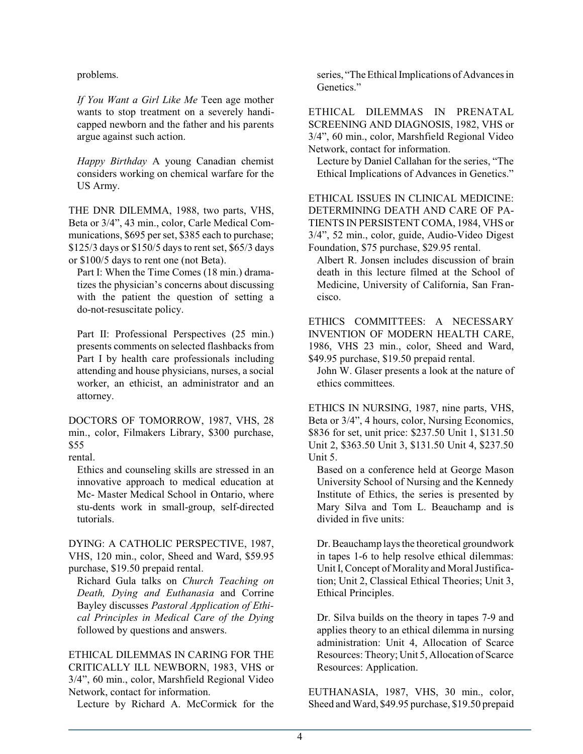problems.

*If You Want a Girl Like Me* Teen age mother wants to stop treatment on a severely handicapped newborn and the father and his parents argue against such action.

*Happy Birthday* A young Canadian chemist considers working on chemical warfare for the US Army.

THE DNR DILEMMA, 1988, two parts, VHS, Beta or 3/4", 43 min., color, Carle Medical Communications, \$695 per set, \$385 each to purchase; \$125/3 days or \$150/5 days to rent set, \$65/3 days or \$100/5 days to rent one (not Beta).

Part I: When the Time Comes (18 min.) dramatizes the physician's concerns about discussing with the patient the question of setting a do-not-resuscitate policy.

Part II: Professional Perspectives (25 min.) presents comments on selected flashbacks from Part I by health care professionals including attending and house physicians, nurses, a social worker, an ethicist, an administrator and an attorney.

DOCTORS OF TOMORROW, 1987, VHS, 28 min., color, Filmakers Library, \$300 purchase, \$55

rental.

Ethics and counseling skills are stressed in an innovative approach to medical education at Mc- Master Medical School in Ontario, where stu-dents work in small-group, self-directed tutorials.

DYING: A CATHOLIC PERSPECTIVE, 1987, VHS, 120 min., color, Sheed and Ward, \$59.95 purchase, \$19.50 prepaid rental.

Richard Gula talks on *Church Teaching on Death, Dying and Euthanasia* and Corrine Bayley discusses *Pastoral Application of Ethical Principles in Medical Care of the Dying* followed by questions and answers.

ETHICAL DILEMMAS IN CARING FOR THE CRITICALLY ILL NEWBORN, 1983, VHS or 3/4", 60 min., color, Marshfield Regional Video Network, contact for information.

Lecture by Richard A. McCormick for the

series, "The Ethical Implications of Advances in Genetics."

ETHICAL DILEMMAS IN PRENATAL SCREENING AND DIAGNOSIS, 1982, VHS or 3/4", 60 min., color, Marshfield Regional Video Network, contact for information.

Lecture by Daniel Callahan for the series, "The Ethical Implications of Advances in Genetics."

ETHICAL ISSUES IN CLINICAL MEDICINE: DETERMINING DEATH AND CARE OF PA-TIENTS IN PERSISTENT COMA, 1984, VHS or 3/4", 52 min., color, guide, Audio-Video Digest Foundation, \$75 purchase, \$29.95 rental.

Albert R. Jonsen includes discussion of brain death in this lecture filmed at the School of Medicine, University of California, San Francisco.

ETHICS COMMITTEES: A NECESSARY INVENTION OF MODERN HEALTH CARE, 1986, VHS 23 min., color, Sheed and Ward, \$49.95 purchase, \$19.50 prepaid rental.

John W. Glaser presents a look at the nature of ethics committees.

ETHICS IN NURSING, 1987, nine parts, VHS, Beta or 3/4", 4 hours, color, Nursing Economics, \$836 for set, unit price: \$237.50 Unit 1, \$131.50 Unit 2, \$363.50 Unit 3, \$131.50 Unit 4, \$237.50 Unit 5.

Based on a conference held at George Mason University School of Nursing and the Kennedy Institute of Ethics, the series is presented by Mary Silva and Tom L. Beauchamp and is divided in five units:

Dr. Beauchamp lays the theoretical groundwork in tapes 1-6 to help resolve ethical dilemmas: Unit I, Concept of Morality and Moral Justification; Unit 2, Classical Ethical Theories; Unit 3, Ethical Principles.

Dr. Silva builds on the theory in tapes 7-9 and applies theory to an ethical dilemma in nursing administration: Unit 4, Allocation of Scarce Resources: Theory; Unit 5, Allocation of Scarce Resources: Application.

EUTHANASIA, 1987, VHS, 30 min., color, Sheed and Ward, \$49.95 purchase, \$19.50 prepaid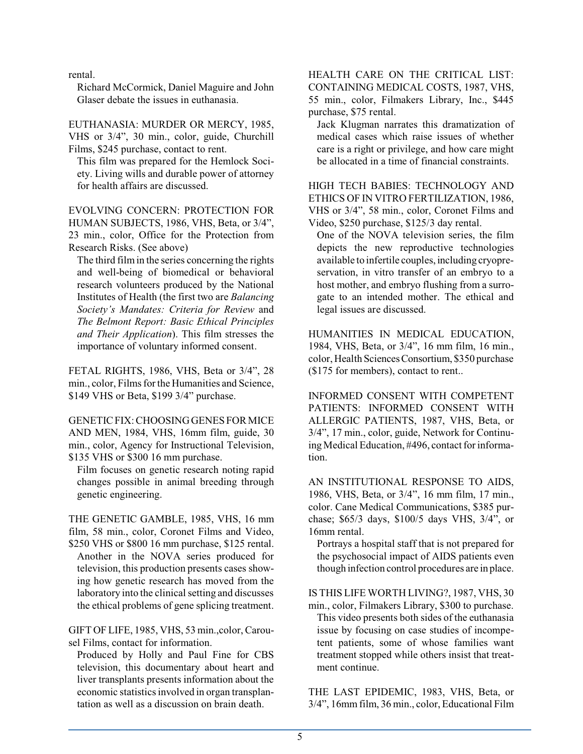rental.

Richard McCormick, Daniel Maguire and John Glaser debate the issues in euthanasia.

EUTHANASIA: MURDER OR MERCY, 1985, VHS or 3/4", 30 min., color, guide, Churchill Films, \$245 purchase, contact to rent.

This film was prepared for the Hemlock Society. Living wills and durable power of attorney for health affairs are discussed.

EVOLVING CONCERN: PROTECTION FOR HUMAN SUBJECTS, 1986, VHS, Beta, or 3/4", 23 min., color, Office for the Protection from Research Risks. (See above)

The third filmin the series concerning the rights and well-being of biomedical or behavioral research volunteers produced by the National Institutes of Health (the first two are *Balancing Society's Mandates: Criteria for Review* and *The Belmont Report: Basic Ethical Principles and Their Application*). This film stresses the importance of voluntary informed consent.

FETAL RIGHTS, 1986, VHS, Beta or 3/4", 28 min., color, Films forthe Humanities and Science, \$149 VHS or Beta, \$199 3/4" purchase.

GENETIC FIX:CHOOSING GENESFOR MICE AND MEN, 1984, VHS, 16mm film, guide, 30 min., color, Agency for Instructional Television, \$135 VHS or \$300 16 mm purchase.

Film focuses on genetic research noting rapid changes possible in animal breeding through genetic engineering.

THE GENETIC GAMBLE, 1985, VHS, 16 mm film, 58 min., color, Coronet Films and Video, \$250 VHS or \$800 16 mm purchase, \$125 rental.

Another in the NOVA series produced for television, this production presents cases showing how genetic research has moved from the laboratory into the clinical setting and discusses the ethical problems of gene splicing treatment.

GIFT OF LIFE, 1985, VHS, 53 min.,color, Carousel Films, contact for information.

Produced by Holly and Paul Fine for CBS television, this documentary about heart and liver transplants presents information about the economic statistics involved in organ transplantation as well as a discussion on brain death.

### HEALTH CARE ON THE CRITICAL LIST: CONTAINING MEDICAL COSTS, 1987, VHS, 55 min., color, Filmakers Library, Inc., \$445 purchase, \$75 rental.

Jack Klugman narrates this dramatization of medical cases which raise issues of whether care is a right or privilege, and how care might be allocated in a time of financial constraints.

HIGH TECH BABIES: TECHNOLOGY AND ETHICS OF IN VITRO FERTILIZATION, 1986, VHS or 3/4", 58 min., color, Coronet Films and Video, \$250 purchase, \$125/3 day rental.

One of the NOVA television series, the film depicts the new reproductive technologies available to infertile couples, including cryopreservation, in vitro transfer of an embryo to a host mother, and embryo flushing from a surrogate to an intended mother. The ethical and legal issues are discussed.

HUMANITIES IN MEDICAL EDUCATION, 1984, VHS, Beta, or 3/4", 16 mm film, 16 min., color, Health SciencesConsortium, \$350 purchase (\$175 for members), contact to rent..

INFORMED CONSENT WITH COMPETENT PATIENTS: INFORMED CONSENT WITH ALLERGIC PATIENTS, 1987, VHS, Beta, or 3/4", 17 min., color, guide, Network for Continuing Medical Education, #496, contact for information.

AN INSTITUTIONAL RESPONSE TO AIDS, 1986, VHS, Beta, or 3/4", 16 mm film, 17 min., color. Cane Medical Communications, \$385 purchase; \$65/3 days, \$100/5 days VHS, 3/4", or 16mm rental.

Portrays a hospital staff that is not prepared for the psychosocial impact of AIDS patients even though infection control procedures are in place.

IS THIS LIFE WORTH LIVING?, 1987, VHS, 30

min., color, Filmakers Library, \$300 to purchase. This video presents both sides of the euthanasia issue by focusing on case studies of incompetent patients, some of whose families want treatment stopped while others insist that treatment continue.

THE LAST EPIDEMIC, 1983, VHS, Beta, or 3/4", 16mmfilm, 36 min., color, Educational Film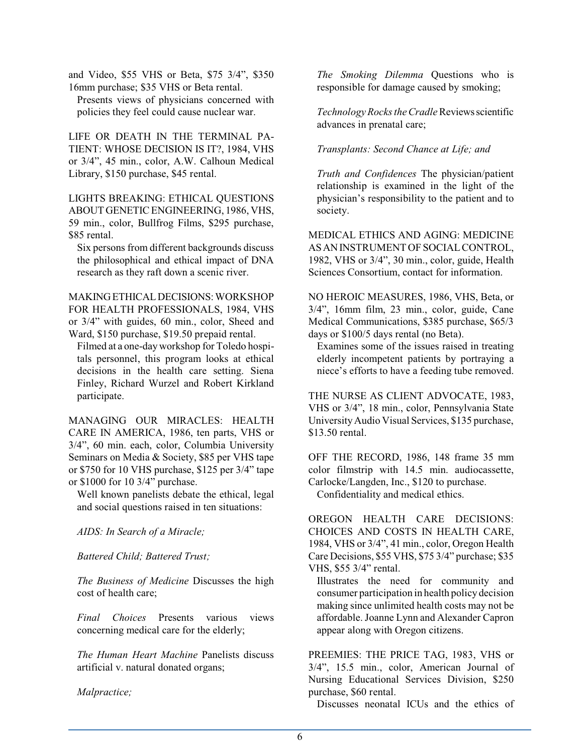and Video, \$55 VHS or Beta, \$75 3/4", \$350 16mm purchase; \$35 VHS or Beta rental.

Presents views of physicians concerned with policies they feel could cause nuclear war.

LIFE OR DEATH IN THE TERMINAL PA-TIENT: WHOSE DECISION IS IT?, 1984, VHS or 3/4", 45 min., color, A.W. Calhoun Medical Library, \$150 purchase, \$45 rental.

LIGHTS BREAKING: ETHICAL QUESTIONS ABOUT GENETIC ENGINEERING, 1986, VHS, 59 min., color, Bullfrog Films, \$295 purchase, \$85 rental.

Six persons from different backgrounds discuss the philosophical and ethical impact of DNA research as they raft down a scenic river.

MAKINGETHICALDECISIONS:WORKSHOP FOR HEALTH PROFESSIONALS, 1984, VHS or 3/4" with guides, 60 min., color, Sheed and Ward, \$150 purchase, \$19.50 prepaid rental.

Filmed at a one-day workshop for Toledo hospitals personnel, this program looks at ethical decisions in the health care setting. Siena Finley, Richard Wurzel and Robert Kirkland participate.

MANAGING OUR MIRACLES: HEALTH CARE IN AMERICA, 1986, ten parts, VHS or 3/4", 60 min. each, color, Columbia University Seminars on Media & Society, \$85 per VHS tape or \$750 for 10 VHS purchase, \$125 per 3/4" tape or \$1000 for 10 3/4" purchase.

Well known panelists debate the ethical, legal and social questions raised in ten situations:

*AIDS: In Search of a Miracle;*

*Battered Child; Battered Trust;*

*The Business of Medicine* Discusses the high cost of health care;

*Final Choices* Presents various views concerning medical care for the elderly;

*The Human Heart Machine* Panelists discuss artificial v. natural donated organs;

*Malpractice;*

*The Smoking Dilemma* Questions who is responsible for damage caused by smoking;

*Technology Rocks the Cradle*Reviewsscientific advances in prenatal care;

### *Transplants: Second Chance at Life; and*

*Truth and Confidences* The physician/patient relationship is examined in the light of the physician's responsibility to the patient and to society.

MEDICAL ETHICS AND AGING: MEDICINE ASANINSTRUMENT OF SOCIAL CONTROL, 1982, VHS or 3/4", 30 min., color, guide, Health Sciences Consortium, contact for information.

NO HEROIC MEASURES, 1986, VHS, Beta, or 3/4", 16mm film, 23 min., color, guide, Cane Medical Communications, \$385 purchase, \$65/3 days or \$100/5 days rental (no Beta).

Examines some of the issues raised in treating elderly incompetent patients by portraying a niece's efforts to have a feeding tube removed.

THE NURSE AS CLIENT ADVOCATE, 1983, VHS or 3/4", 18 min., color, Pennsylvania State UniversityAudio Visual Services, \$135 purchase, \$13.50 rental.

OFF THE RECORD, 1986, 148 frame 35 mm color filmstrip with 14.5 min. audiocassette, Carlocke/Langden, Inc., \$120 to purchase. Confidentiality and medical ethics.

OREGON HEALTH CARE DECISIONS: CHOICES AND COSTS IN HEALTH CARE, 1984, VHS or 3/4", 41 min., color, Oregon Health Care Decisions, \$55 VHS, \$75 3/4" purchase; \$35 VHS, \$55 3/4" rental.

Illustrates the need for community and consumer participation in health policy decision making since unlimited health costs may not be affordable. Joanne Lynn and Alexander Capron appear along with Oregon citizens.

PREEMIES: THE PRICE TAG, 1983, VHS or 3/4", 15.5 min., color, American Journal of Nursing Educational Services Division, \$250 purchase, \$60 rental.

Discusses neonatal ICUs and the ethics of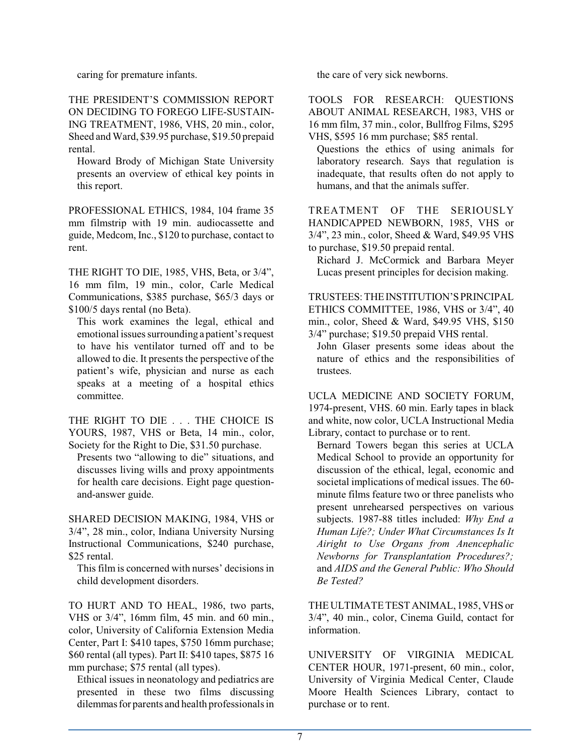caring for premature infants.

THE PRESIDENT'S COMMISSION REPORT ON DECIDING TO FOREGO LIFE-SUSTAIN-ING TREATMENT, 1986, VHS, 20 min., color, Sheed and Ward, \$39.95 purchase, \$19.50 prepaid rental.

Howard Brody of Michigan State University presents an overview of ethical key points in this report.

PROFESSIONAL ETHICS, 1984, 104 frame 35 mm filmstrip with 19 min. audiocassette and guide, Medcom, Inc., \$120 to purchase, contact to rent.

THE RIGHT TO DIE, 1985, VHS, Beta, or 3/4", 16 mm film, 19 min., color, Carle Medical Communications, \$385 purchase, \$65/3 days or \$100/5 days rental (no Beta).

This work examines the legal, ethical and emotional issues surrounding a patient's request to have his ventilator turned off and to be allowed to die. It presents the perspective of the patient's wife, physician and nurse as each speaks at a meeting of a hospital ethics committee.

THE RIGHT TO DIE . . . THE CHOICE IS YOURS, 1987, VHS or Beta, 14 min., color, Society for the Right to Die, \$31.50 purchase.

Presents two "allowing to die" situations, and discusses living wills and proxy appointments for health care decisions. Eight page questionand-answer guide.

SHARED DECISION MAKING, 1984, VHS or 3/4", 28 min., color, Indiana University Nursing Instructional Communications, \$240 purchase, \$25 rental.

This film is concerned with nurses' decisions in child development disorders.

TO HURT AND TO HEAL, 1986, two parts, VHS or 3/4", 16mm film, 45 min. and 60 min., color, University of California Extension Media Center, Part I: \$410 tapes, \$750 16mm purchase; \$60 rental (all types). Part II: \$410 tapes, \$875 16 mm purchase; \$75 rental (all types).

Ethical issues in neonatology and pediatrics are presented in these two films discussing dilemmasfor parents and health professionals in the care of very sick newborns.

TOOLS FOR RESEARCH: QUESTIONS ABOUT ANIMAL RESEARCH, 1983, VHS or 16 mm film, 37 min., color, Bullfrog Films, \$295 VHS, \$595 16 mm purchase; \$85 rental.

Questions the ethics of using animals for laboratory research. Says that regulation is inadequate, that results often do not apply to humans, and that the animals suffer.

TREATMENT OF THE SERIOUSLY HANDICAPPED NEWBORN, 1985, VHS or 3/4", 23 min., color, Sheed & Ward, \$49.95 VHS to purchase, \$19.50 prepaid rental.

Richard J. McCormick and Barbara Meyer Lucas present principles for decision making.

TRUSTEES: THE INSTITUTION'S PRINCIPAL ETHICS COMMITTEE, 1986, VHS or 3/4", 40 min., color, Sheed & Ward, \$49.95 VHS, \$150 3/4" purchase; \$19.50 prepaid VHS rental.

John Glaser presents some ideas about the nature of ethics and the responsibilities of trustees.

UCLA MEDICINE AND SOCIETY FORUM, 1974-present, VHS. 60 min. Early tapes in black and white, now color, UCLA Instructional Media Library, contact to purchase or to rent.

Bernard Towers began this series at UCLA Medical School to provide an opportunity for discussion of the ethical, legal, economic and societal implications of medical issues. The 60 minute films feature two or three panelists who present unrehearsed perspectives on various subjects. 1987-88 titles included: *Why End a Human Life?; Under What Circumstances Is It Airight to Use Organs from Anencephalic Newborns for Transplantation Procedures?;* and *AIDS and the General Public: Who Should Be Tested?*

THE ULTIMATE TEST ANIMAL, 1985, VHS or 3/4", 40 min., color, Cinema Guild, contact for information.

UNIVERSITY OF VIRGINIA MEDICAL CENTER HOUR, 1971-present, 60 min., color, University of Virginia Medical Center, Claude Moore Health Sciences Library, contact to purchase or to rent.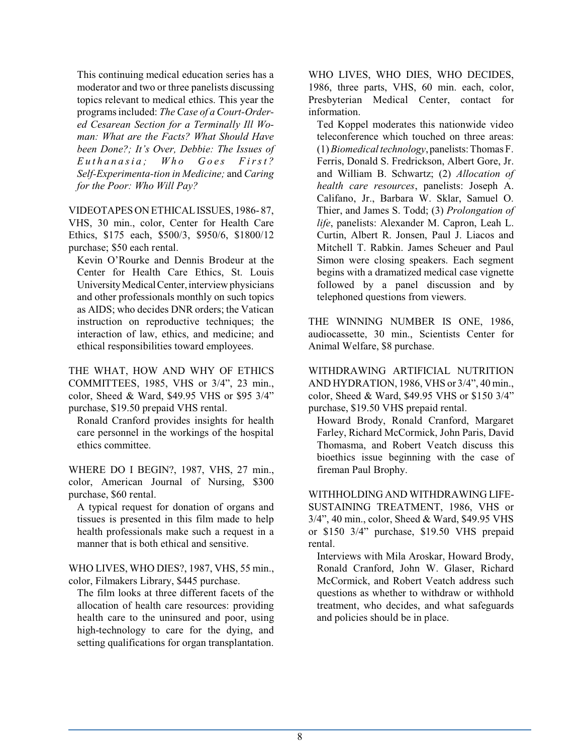This continuing medical education series has a moderator and two or three panelists discussing topics relevant to medical ethics. This year the programs included: *The Case of a Court-Ordered Cesarean Section for a Terminally Ill Woman: What are the Facts? What Should Have been Done?; It's Over, Debbie: The Issues of E u t h a n a si a ; W h o G o e s F irst ? Self-Experimenta-tion in Medicine;* and *Caring for the Poor: Who Will Pay?*

VIDEOTAPES ON ETHICALISSUES, 1986- 87, VHS, 30 min., color, Center for Health Care Ethics, \$175 each, \$500/3, \$950/6, \$1800/12 purchase; \$50 each rental.

Kevin O'Rourke and Dennis Brodeur at the Center for Health Care Ethics, St. Louis University Medical Center, interview physicians and other professionals monthly on such topics as AIDS; who decides DNR orders; the Vatican instruction on reproductive techniques; the interaction of law, ethics, and medicine; and ethical responsibilities toward employees.

THE WHAT, HOW AND WHY OF ETHICS COMMITTEES, 1985, VHS or 3/4", 23 min., color, Sheed & Ward, \$49.95 VHS or \$95 3/4" purchase, \$19.50 prepaid VHS rental.

Ronald Cranford provides insights for health care personnel in the workings of the hospital ethics committee.

WHERE DO I BEGIN?, 1987, VHS, 27 min., color, American Journal of Nursing, \$300 purchase, \$60 rental.

A typical request for donation of organs and tissues is presented in this film made to help health professionals make such a request in a manner that is both ethical and sensitive.

WHO LIVES, WHO DIES?, 1987, VHS, 55 min., color, Filmakers Library, \$445 purchase.

The film looks at three different facets of the allocation of health care resources: providing health care to the uninsured and poor, using high-technology to care for the dying, and setting qualifications for organ transplantation.

WHO LIVES, WHO DIES, WHO DECIDES, 1986, three parts, VHS, 60 min. each, color, Presbyterian Medical Center, contact for information.

Ted Koppel moderates this nationwide video teleconference which touched on three areas: (1)*Biomedical technology*, panelists:Thomas F. Ferris, Donald S. Fredrickson, Albert Gore, Jr. and William B. Schwartz; (2) *Allocation of health care resources*, panelists: Joseph A. Califano, Jr., Barbara W. Sklar, Samuel O. Thier, and James S. Todd; (3) *Prolongation of life*, panelists: Alexander M. Capron, Leah L. Curtin, Albert R. Jonsen, Paul J. Liacos and Mitchell T. Rabkin. James Scheuer and Paul Simon were closing speakers. Each segment begins with a dramatized medical case vignette followed by a panel discussion and by telephoned questions from viewers.

THE WINNING NUMBER IS ONE, 1986, audiocassette, 30 min., Scientists Center for Animal Welfare, \$8 purchase.

WITHDRAWING ARTIFICIAL NUTRITION AND HYDRATION, 1986, VHS or 3/4", 40 min., color, Sheed & Ward, \$49.95 VHS or \$150 3/4" purchase, \$19.50 VHS prepaid rental.

Howard Brody, Ronald Cranford, Margaret Farley, Richard McCormick, John Paris, David Thomasma, and Robert Veatch discuss this bioethics issue beginning with the case of fireman Paul Brophy.

WITHHOLDING AND WITHDRAWING LIFE-SUSTAINING TREATMENT, 1986, VHS or 3/4", 40 min., color, Sheed & Ward, \$49.95 VHS or \$150 3/4" purchase, \$19.50 VHS prepaid rental.

Interviews with Mila Aroskar, Howard Brody, Ronald Cranford, John W. Glaser, Richard McCormick, and Robert Veatch address such questions as whether to withdraw or withhold treatment, who decides, and what safeguards and policies should be in place.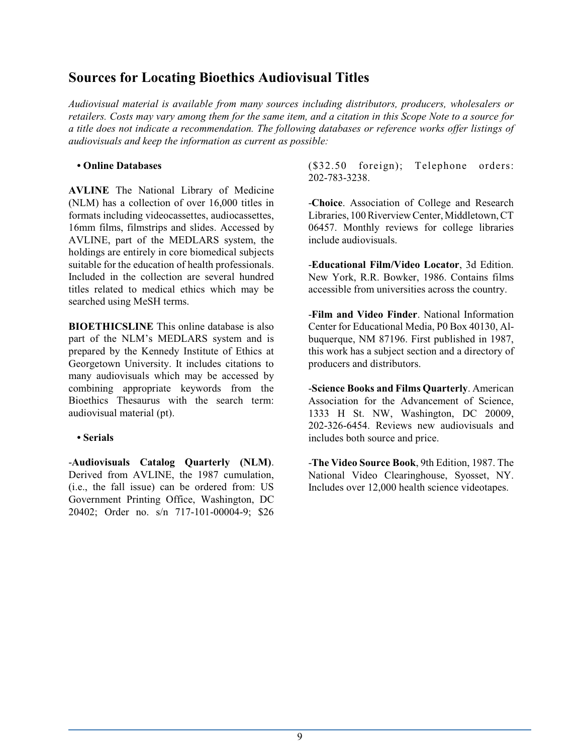## **Sources for Locating Bioethics Audiovisual Titles**

*Audiovisual material is available from many sources including distributors, producers, wholesalers or retailers. Costs may vary among them for the same item, and a citation in this Scope Note to a source for a title does not indicate a recommendation. The following databases or reference works offer listings of audiovisuals and keep the information as current as possible:*

### **• Online Databases**

**AVLINE** The National Library of Medicine (NLM) has a collection of over 16,000 titles in formats including videocassettes, audiocassettes, 16mm films, filmstrips and slides. Accessed by AVLINE, part of the MEDLARS system, the holdings are entirely in core biomedical subjects suitable for the education of health professionals. Included in the collection are several hundred titles related to medical ethics which may be searched using MeSH terms.

**BIOETHICSLINE** This online database is also part of the NLM's MEDLARS system and is prepared by the Kennedy Institute of Ethics at Georgetown University. It includes citations to many audiovisuals which may be accessed by combining appropriate keywords from the Bioethics Thesaurus with the search term: audiovisual material (pt).

## **• Serials**

-**Audiovisuals Catalog Quarterly (NLM)**. Derived from AVLINE, the 1987 cumulation, (i.e., the fall issue) can be ordered from: US Government Printing Office, Washington, DC 20402; Order no. s/n 717-101-00004-9; \$26 (\$32.50 foreign); Telephone orders: 202-783-3238.

-**Choice**. Association of College and Research Libraries, 100 Riverview Center, Middletown, CT 06457. Monthly reviews for college libraries include audiovisuals.

-**Educational Film/Video Locator**, 3d Edition. New York, R.R. Bowker, 1986. Contains films accessible from universities across the country.

-**Film and Video Finder**. National Information Center for Educational Media, P0 Box 40130, Albuquerque, NM 87196. First published in 1987, this work has a subject section and a directory of producers and distributors.

-**Science Books and Films Quarterly**. American Association for the Advancement of Science, 1333 H St. NW, Washington, DC 20009, 202-326-6454. Reviews new audiovisuals and includes both source and price.

-**The Video Source Book**, 9th Edition, 1987. The National Video Clearinghouse, Syosset, NY. Includes over 12,000 health science videotapes.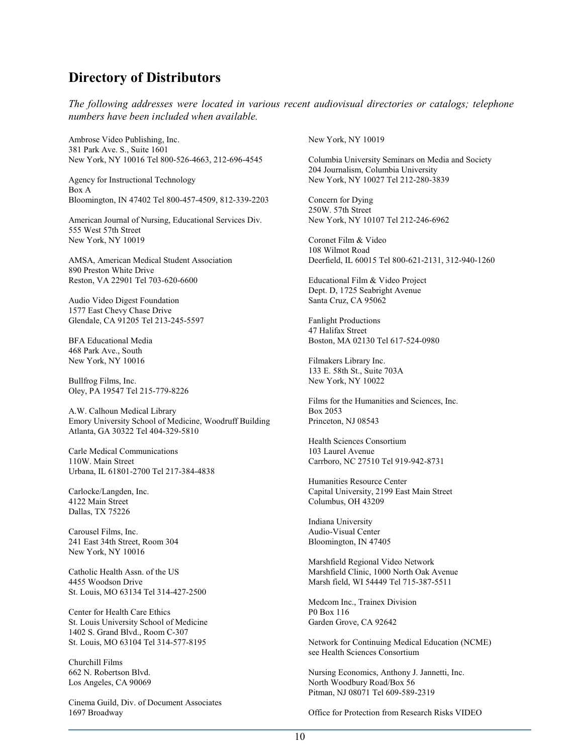## **Directory of Distributors**

*The following addresses were located in various recent audiovisual directories or catalogs; telephone numbers have been included when available.*

Ambrose Video Publishing, Inc. 381 Park Ave. S., Suite 1601 New York, NY 10016 Tel 800-526-4663, 212-696-4545

Agency for Instructional Technology Box A Bloomington, IN 47402 Tel 800-457-4509, 812-339-2203

American Journal of Nursing, Educational Services Div. 555 West 57th Street New York, NY 10019

AMSA, American Medical Student Association 890 Preston White Drive Reston, VA 22901 Tel 703-620-6600

Audio Video Digest Foundation 1577 East Chevy Chase Drive Glendale, CA 91205 Tel 213-245-5597

BFA Educational Media 468 Park Ave., South New York, NY 10016

Bullfrog Films, Inc. Oley, PA 19547 Tel 215-779-8226

A.W. Calhoun Medical Library Emory University School of Medicine, Woodruff Building Atlanta, GA 30322 Tel 404-329-5810

Carle Medical Communications 110W. Main Street Urbana, IL 61801-2700 Tel 217-384-4838

Carlocke/Langden, Inc. 4122 Main Street Dallas, TX 75226

Carousel Films, Inc. 241 East 34th Street, Room 304 New York, NY 10016

Catholic Health Assn. of the US 4455 Woodson Drive St. Louis, MO 63134 Tel 314-427-2500

Center for Health Care Ethics St. Louis University School of Medicine 1402 S. Grand Blvd., Room C-307 St. Louis, MO 63104 Tel 314-577-8195

Churchill Films 662 N. Robertson Blvd. Los Angeles, CA 90069

Cinema Guild, Div. of Document Associates 1697 Broadway

New York, NY 10019

Columbia University Seminars on Media and Society 204 Journalism, Columbia University New York, NY 10027 Tel 212-280-3839

Concern for Dying 250W. 57th Street New York, NY 10107 Tel 212-246-6962

Coronet Film & Video 108 Wilmot Road Deerfield, IL 60015 Tel 800-621-2131, 312-940-1260

Educational Film & Video Project Dept. D, 1725 Seabright Avenue Santa Cruz, CA 95062

Fanlight Productions 47 Halifax Street Boston, MA 02130 Tel 617-524-0980

Filmakers Library Inc. 133 E. 58th St., Suite 703A New York, NY 10022

Films for the Humanities and Sciences, Inc. Box 2053 Princeton, NJ 08543

Health Sciences Consortium 103 Laurel Avenue Carrboro, NC 27510 Tel 919-942-8731

Humanities Resource Center Capital University, 2199 East Main Street Columbus, OH 43209

Indiana University Audio-Visual Center Bloomington, IN 47405

Marshfield Regional Video Network Marshfield Clinic, 1000 North Oak Avenue Marsh field, WI 54449 Tel 715-387-5511

Medcom Inc., Trainex Division P0 Box 116 Garden Grove, CA 92642

Network for Continuing Medical Education (NCME) see Health Sciences Consortium

Nursing Economics, Anthony J. Jannetti, Inc. North Woodbury Road/Box 56 Pitman, NJ 08071 Tel 609-589-2319

Office for Protection from Research Risks VIDEO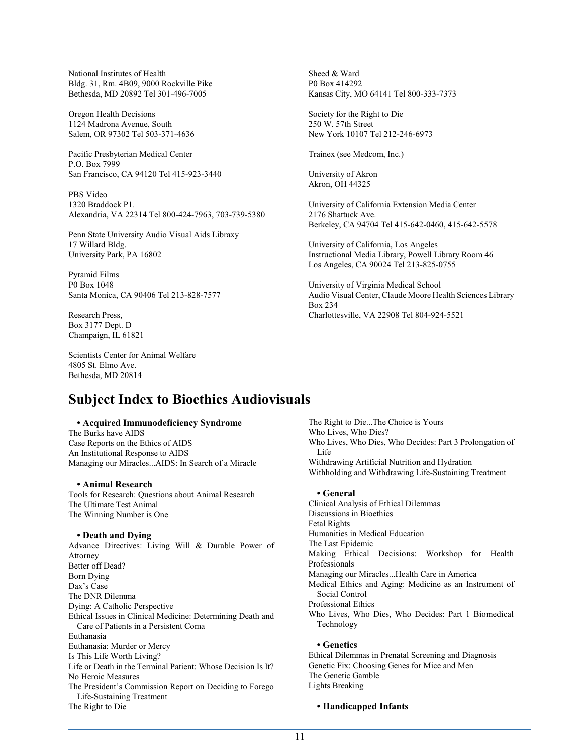National Institutes of Health Bldg. 31, Rm. 4B09, 9000 Rockville Pike Bethesda, MD 20892 Tel 301-496-7005

Oregon Health Decisions 1124 Madrona Avenue, South Salem, OR 97302 Tel 503-371-4636

Pacific Presbyterian Medical Center P.O. Box 7999 San Francisco, CA 94120 Tel 415-923-3440

PBS Video 1320 Braddock P1. Alexandria, VA 22314 Tel 800-424-7963, 703-739-5380

Penn State University Audio Visual Aids Libraxy 17 Willard Bldg. University Park, PA 16802

Pyramid Films P0 Box 1048 Santa Monica, CA 90406 Tel 213-828-7577

Research Press, Box 3177 Dept. D Champaign, IL 61821

Scientists Center for Animal Welfare 4805 St. Elmo Ave. Bethesda, MD 20814

# **Subject Index to Bioethics Audiovisuals**

#### **• Acquired Immunodeficiency Syndrome**

The Burks have AIDS Case Reports on the Ethics of AIDS An Institutional Response to AIDS Managing our Miracles...AIDS: In Search of a Miracle

#### **• Animal Research**

Tools for Research: Questions about Animal Research The Ultimate Test Animal The Winning Number is One

#### **• Death and Dying**

Advance Directives: Living Will & Durable Power of Attorney Better off Dead? Born Dying Dax's Case The DNR Dilemma Dying: A Catholic Perspective Ethical Issues in Clinical Medicine: Determining Death and Care of Patients in a Persistent Coma Euthanasia Euthanasia: Murder or Mercy Is This Life Worth Living? Life or Death in the Terminal Patient: Whose Decision Is It? No Heroic Measures The President's Commission Report on Deciding to Forego Life-Sustaining Treatment The Right to Die

Sheed & Ward P0 Box 414292 Kansas City, MO 64141 Tel 800-333-7373

Society for the Right to Die 250 W. 57th Street New York 10107 Tel 212-246-6973

Trainex (see Medcom, Inc.)

University of Akron Akron, OH 44325

University of California Extension Media Center 2176 Shattuck Ave. Berkeley, CA 94704 Tel 415-642-0460, 415-642-5578

University of California, Los Angeles Instructional Media Library, Powell Library Room 46 Los Angeles, CA 90024 Tel 213-825-0755

University of Virginia Medical School Audio Visual Center, Claude Moore Health Sciences Library Box 234 Charlottesville, VA 22908 Tel 804-924-5521

The Right to Die...The Choice is Yours Who Lives, Who Dies? Who Lives, Who Dies, Who Decides: Part 3 Prolongation of Life Withdrawing Artificial Nutrition and Hydration Withholding and Withdrawing Life-Sustaining Treatment

#### **• General**

Clinical Analysis of Ethical Dilemmas Discussions in Bioethics Fetal Rights Humanities in Medical Education The Last Epidemic Making Ethical Decisions: Workshop for Health Professionals Managing our Miracles...Health Care in America Medical Ethics and Aging: Medicine as an Instrument of Social Control Professional Ethics Who Lives, Who Dies, Who Decides: Part 1 Biomedical Technology **• Genetics** Ethical Dilemmas in Prenatal Screening and Diagnosis

Genetic Fix: Choosing Genes for Mice and Men The Genetic Gamble Lights Breaking

#### **• Handicapped Infants**